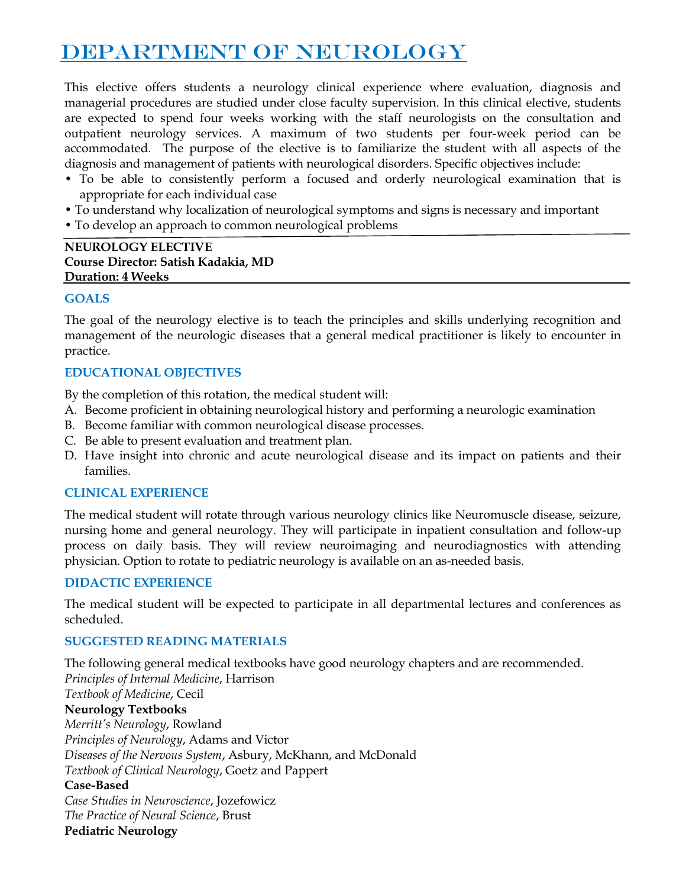# DEPARTMENT OF NEUROLOGY

This elective offers students a neurology clinical experience where evaluation, diagnosis and managerial procedures are studied under close faculty supervision. In this clinical elective, students are expected to spend four weeks working with the staff neurologists on the consultation and outpatient neurology services. A maximum of two students per four-week period can be accommodated. The purpose of the elective is to familiarize the student with all aspects of the diagnosis and management of patients with neurological disorders. Specific objectives include:

- To be able to consistently perform a focused and orderly neurological examination that is appropriate for each individual case
- To understand why localization of neurological symptoms and signs is necessary and important
- To develop an approach to common neurological problems

#### **NEUROLOGY ELECTIVE Course Director: Satish Kadakia, MD Duration: 4 Weeks**

## **GOALS**

The goal of the neurology elective is to teach the principles and skills underlying recognition and management of the neurologic diseases that a general medical practitioner is likely to encounter in practice.

## **EDUCATIONAL OBJECTIVES**

By the completion of this rotation, the medical student will:

- A. Become proficient in obtaining neurological history and performing a neurologic examination
- B. Become familiar with common neurological disease processes.
- C. Be able to present evaluation and treatment plan.
- D. Have insight into chronic and acute neurological disease and its impact on patients and their families.

## **CLINICAL EXPERIENCE**

The medical student will rotate through various neurology clinics like Neuromuscle disease, seizure, nursing home and general neurology. They will participate in inpatient consultation and follow-up process on daily basis. They will review neuroimaging and neurodiagnostics with attending physician. Option to rotate to pediatric neurology is available on an as-needed basis.

## **DIDACTIC EXPERIENCE**

The medical student will be expected to participate in all departmental lectures and conferences as scheduled.

## **SUGGESTED READING MATERIALS**

The following general medical textbooks have good neurology chapters and are recommended. *Principles of Internal Medicine*, Harrison *Textbook of Medicine*, Cecil **Neurology Textbooks** *Merritt's Neurology*, Rowland *Principles of Neurology*, Adams and Victor *Diseases of the Nervous System*, Asbury, McKhann, and McDonald *Textbook of Clinical Neurology*, Goetz and Pappert **Case-Based** *Case Studies in Neuroscience*, Jozefowicz *The Practice of Neural Science*, Brust **Pediatric Neurology**